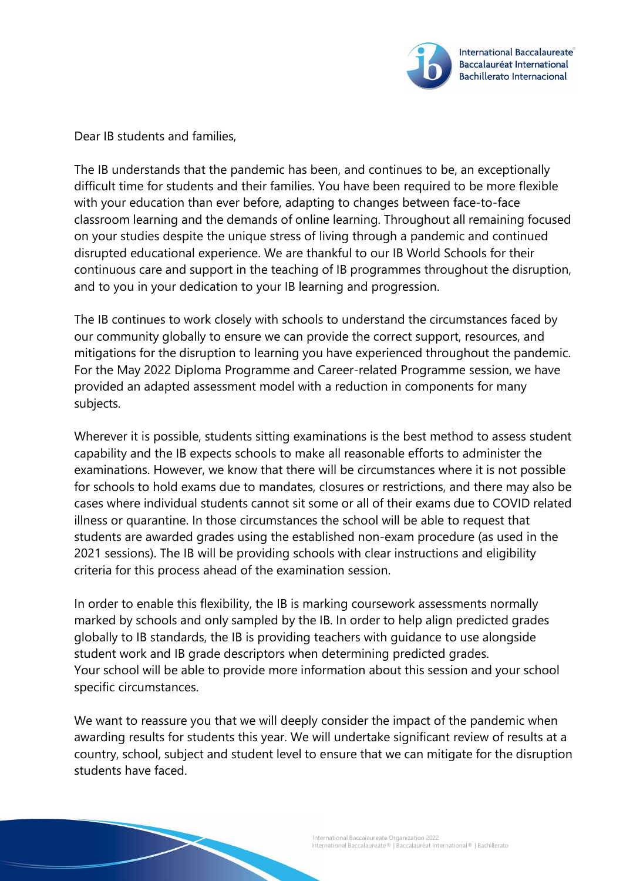

Dear IB students and families,

The IB understands that the pandemic has been, and continues to be, an exceptionally difficult time for students and their families. You have been required to be more flexible with your education than ever before, adapting to changes between face-to-face classroom learning and the demands of online learning. Throughout all remaining focused on your studies despite the unique stress of living through a pandemic and continued disrupted educational experience. We are thankful to our IB World Schools for their continuous care and support in the teaching of IB programmes throughout the disruption, and to you in your dedication to your IB learning and progression.

The IB continues to work closely with schools to understand the circumstances faced by our community globally to ensure we can provide the correct support, resources, and mitigations for the disruption to learning you have experienced throughout the pandemic. For the May 2022 Diploma Programme and Career-related Programme session, we have provided an adapted assessment model with a reduction in components for many subjects.

Wherever it is possible, students sitting examinations is the best method to assess student capability and the IB expects schools to make all reasonable efforts to administer the examinations. However, we know that there will be circumstances where it is not possible for schools to hold exams due to mandates, closures or restrictions, and there may also be cases where individual students cannot sit some or all of their exams due to COVID related illness or quarantine. In those circumstances the school will be able to request that students are awarded grades using the established non-exam procedure (as used in the 2021 sessions). The IB will be providing schools with clear instructions and eligibility criteria for this process ahead of the examination session.

In order to enable this flexibility, the IB is marking coursework assessments normally marked by schools and only sampled by the IB. In order to help align predicted grades globally to IB standards, the IB is providing teachers with guidance to use alongside student work and IB grade descriptors when determining predicted grades. Your school will be able to provide more information about this session and your school specific circumstances.

We want to reassure you that we will deeply consider the impact of the pandemic when awarding results for students this year. We will undertake significant review of results at a country, school, subject and student level to ensure that we can mitigate for the disruption students have faced.